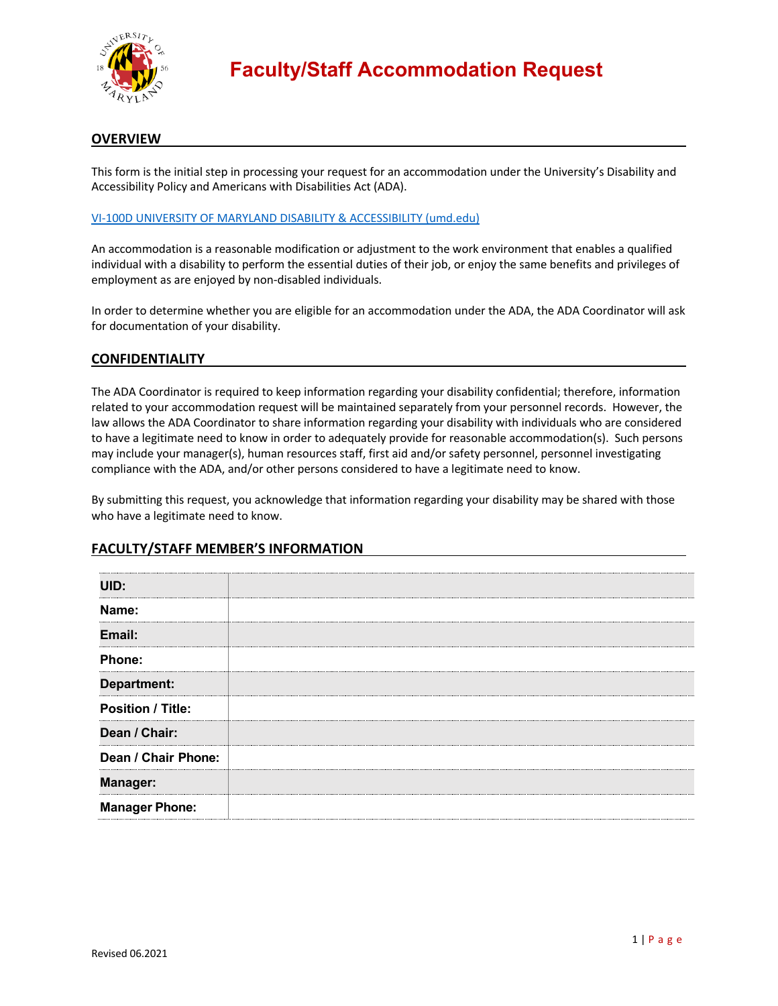

## **OVERVIEW**

This form is the initial step in processing your request for an accommodation under the University's Disability and Accessibility Policy and Americans with Disabilities Act (ADA).

#### VI-100D UNIVERSITY OF MARYLAND DISABILITY & ACCESSIBILITY (umd.edu)

An accommodation is a reasonable modification or adjustment to the work environment that enables a qualified individual with a disability to perform the essential duties of their job, or enjoy the same benefits and privileges of employment as are enjoyed by non-disabled individuals.

In order to determine whether you are eligible for an accommodation under the ADA, the ADA Coordinator will ask for documentation of your disability.

### **CONFIDENTIALITY**

The ADA Coordinator is required to keep information regarding your disability confidential; therefore, information related to your accommodation request will be maintained separately from your personnel records. However, the law allows the ADA Coordinator to share information regarding your disability with individuals who are considered to have a legitimate need to know in order to adequately provide for reasonable accommodation(s). Such persons may include your manager(s), human resources staff, first aid and/or safety personnel, personnel investigating compliance with the ADA, and/or other persons considered to have a legitimate need to know.

By submitting this request, you acknowledge that information regarding your disability may be shared with those who have a legitimate need to know.

# **UID: Name: Email: Phone: Department: Position / Title: Dean / Chair: Dean / Chair Phone: Manager: Manager Phone:**

### **FACULTY/STAFF MEMBER'S INFORMATION**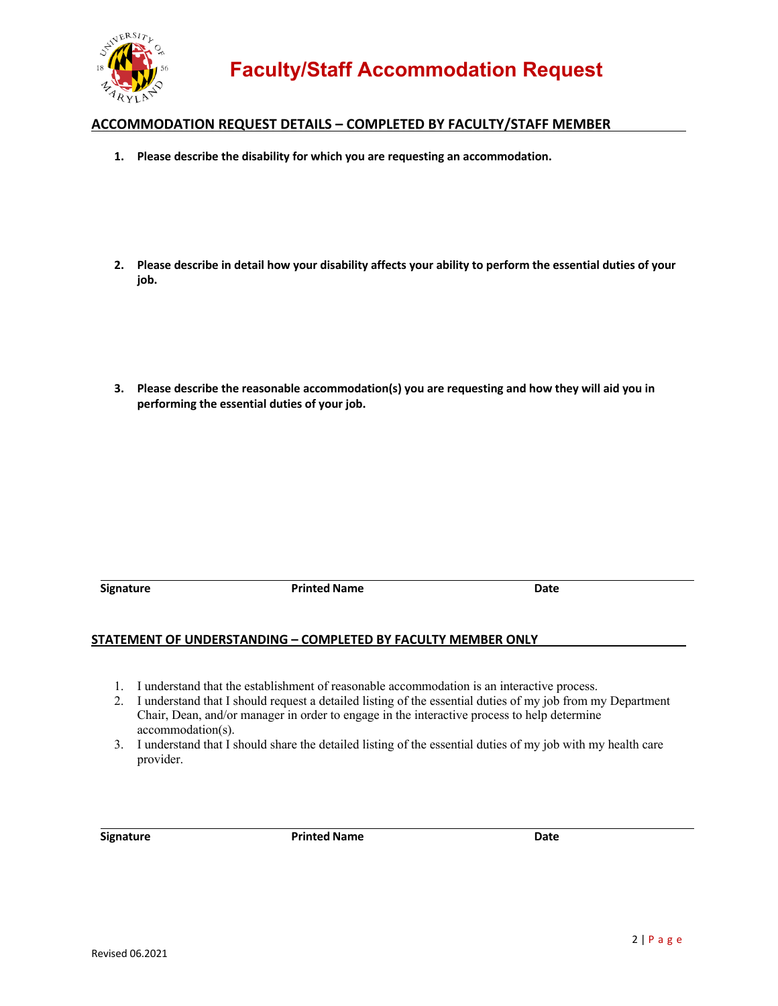

# **ACCOMMODATION REQUEST DETAILS – COMPLETED BY FACULTY/STAFF MEMBER**

- **1. Please describe the disability for which you are requesting an accommodation.**
- **2. Please describe in detail how your disability affects your ability to perform the essential duties of your job.**
- **performing the essential duties of your job. 3. Please describe the reasonable accommodation(s) you are requesting and how they will aid you in**

**Signature Community Community Printed Name Community Community Community Community Community Community Community Community Community Community Community Community Community Community Community Community Community Communit** 

### **STATEMENT OF UNDERSTANDING – COMPLETED BY FACULTY MEMBER ONLY**

- 1. I understand that the establishment of reasonable accommodation is an interactive process.
- 2. I understand that I should request a detailed listing of the essential duties of my job from my Department Chair, Dean, and/or manager in order to engage in the interactive process to help determine accommodation(s).
- 3. I understand that I should share the detailed listing of the essential duties of my job with my health care provider.

**Signature Construction Date Printed Name Construction Date Construction Date**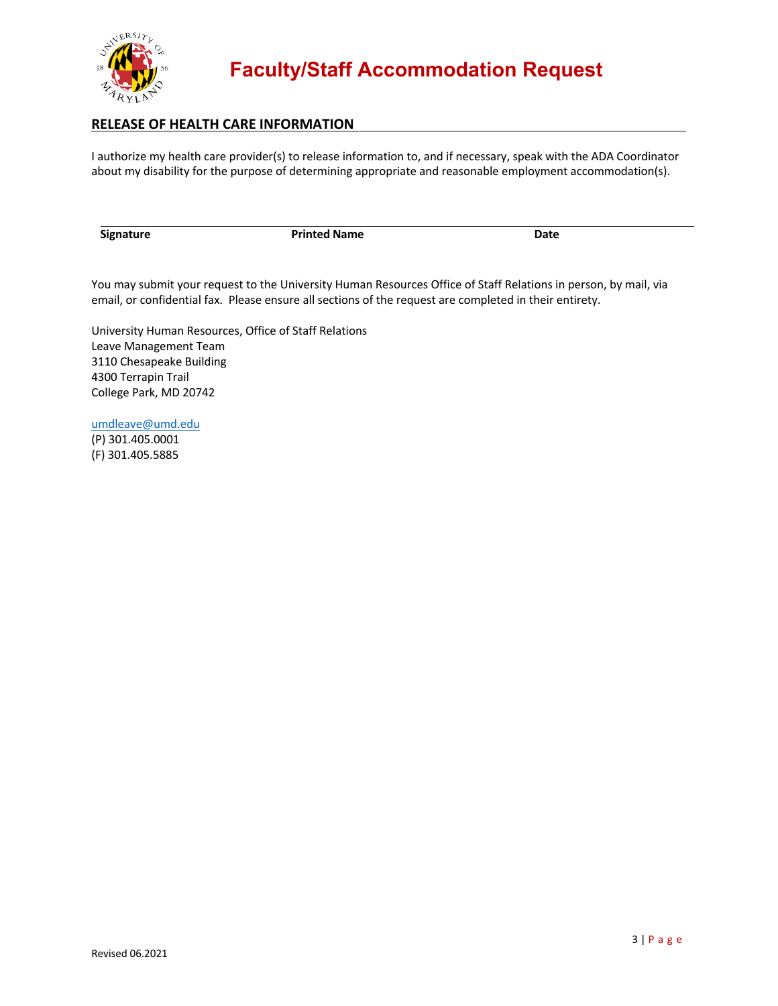

# **RELEASE OF HEALTH CARE INFORMATION**

 I authorize my health care provider(s) to release information to, and if necessary, speak with the ADA Coordinator about my disability for the purpose of determining appropriate and reasonable employment accommodation(s).

**Signature Community Community Printed Name Community Community Community Community Community Community Community** 

 You may submit your request to the University Human Resources Office of Staff Relations in person, by mail, via email, or confidential fax. Please ensure all sections of the request are completed in their entirety.

 University Human Resources, Office of Staff Relations College Park, MD 20742 Leave Management Team 3110 Chesapeake Building 4300 Terrapin Trail

[umdleave@umd.edu](mailto:umdleave@umd.edu)<br>(P) 301.405.0001

(F) 301.405.5885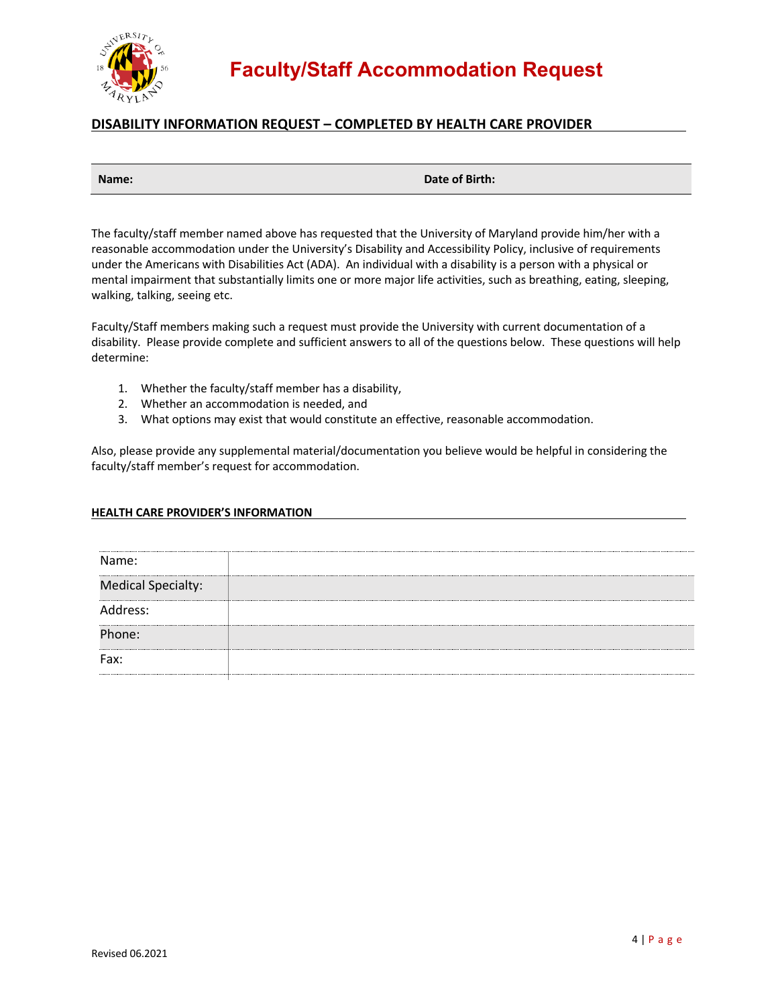

# **DISABILITY INFORMATION REQUEST – COMPLETED BY HEALTH CARE PROVIDER**

|  | Name: |  |
|--|-------|--|
|  |       |  |

**Name: Date of Birth:**

The faculty/staff member named above has requested that the University of Maryland provide him/her with a reasonable accommodation under the University's Disability and Accessibility Policy, inclusive of requirements under the Americans with Disabilities Act (ADA). An individual with a disability is a person with a physical or mental impairment that substantially limits one or more major life activities, such as breathing, eating, sleeping, walking, talking, seeing etc.

Faculty/Staff members making such a request must provide the University with current documentation of a disability. Please provide complete and sufficient answers to all of the questions below. These questions will help determine:

- 1. Whether the faculty/staff member has a disability,
- 2. Whether an accommodation is needed, and
- 3. What options may exist that would constitute an effective, reasonable accommodation.

Also, please provide any supplemental material/documentation you believe would be helpful in considering the faculty/staff member's request for accommodation.

### **HEALTH CARE PROVIDER'S INFORMATION**

| Name:                     |  |
|---------------------------|--|
| <b>Medical Specialty:</b> |  |
| Address:                  |  |
| Phone:                    |  |
| Fax:                      |  |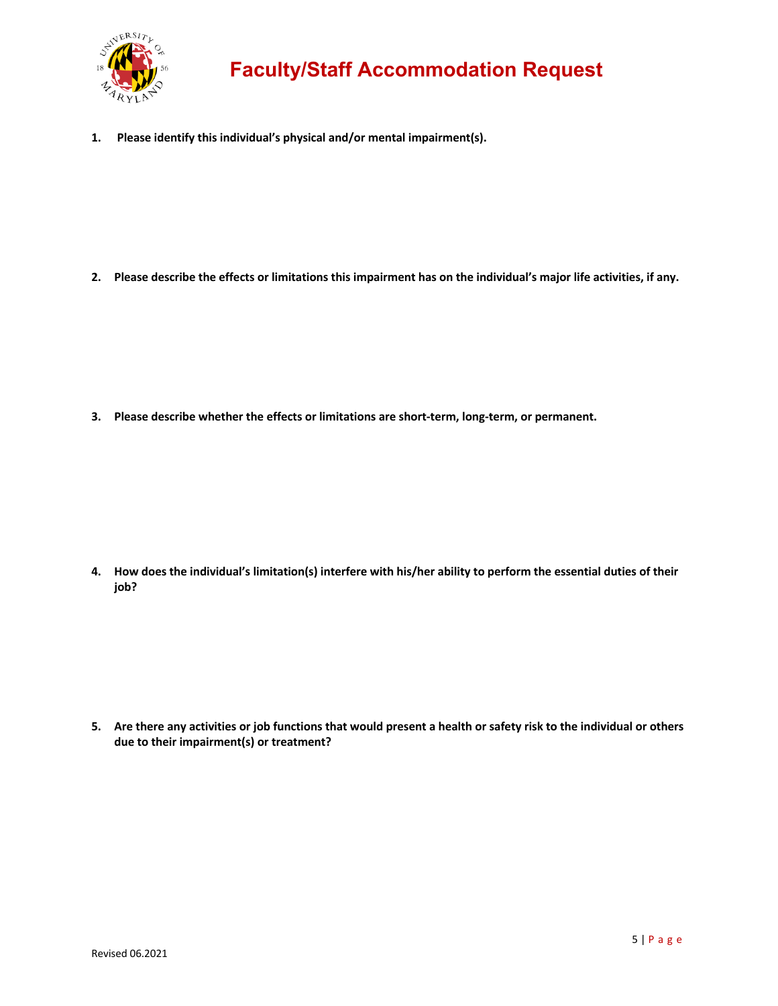

# **Faculty/Staff Accommodation Request**

 **1. Please identify this individual's physical and/or mental impairment(s).**

 **2. Please describe the effects or limitations this impairment has on the individual's major life activities, if any.**

 **3. Please describe whether the effects or limitations are short-term, long-term, or permanent.**

 **4. How does the individual's limitation(s) interfere with his/her ability to perform the essential duties of their job?**

 **5. Are there any activities or job functions that would present a health or safety risk to the individual or others due to their impairment(s) or treatment?**